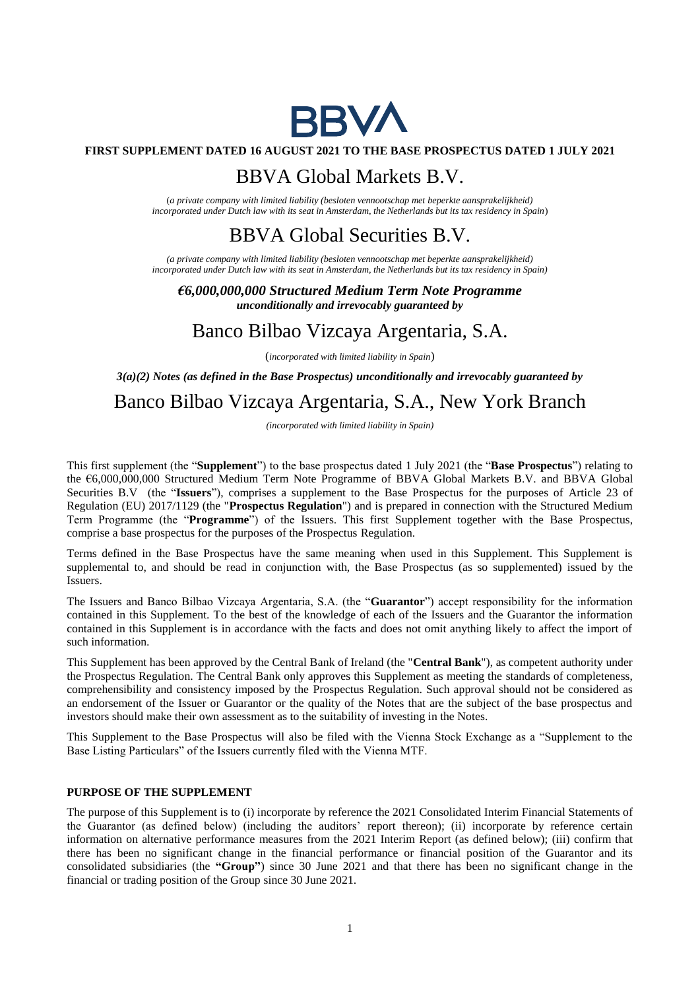

### **FIRST SUPPLEMENT DATED 16 AUGUST 2021 TO THE BASE PROSPECTUS DATED 1 JULY 2021**

## BBVA Global Markets B.V.

(*a private company with limited liability (besloten vennootschap met beperkte aansprakelijkheid) incorporated under Dutch law with its seat in Amsterdam, the Netherlands but its tax residency in Spain*)

## BBVA Global Securities B.V.

*(a private company with limited liability (besloten vennootschap met beperkte aansprakelijkheid) incorporated under Dutch law with its seat in Amsterdam, the Netherlands but its tax residency in Spain)*

*€6,000,000,000 Structured Medium Term Note Programme unconditionally and irrevocably guaranteed by*

## Banco Bilbao Vizcaya Argentaria, S.A.

(*incorporated with limited liability in Spain*)

*3(a)(2) Notes (as defined in the Base Prospectus) unconditionally and irrevocably guaranteed by*

# Banco Bilbao Vizcaya Argentaria, S.A., New York Branch

*(incorporated with limited liability in Spain)*

This first supplement (the "**Supplement**") to the base prospectus dated 1 July 2021 (the "**Base Prospectus**") relating to the €6,000,000,000 Structured Medium Term Note Programme of BBVA Global Markets B.V. and BBVA Global Securities B.V (the "**Issuers**"), comprises a supplement to the Base Prospectus for the purposes of Article 23 of Regulation (EU) 2017/1129 (the "**Prospectus Regulation**") and is prepared in connection with the Structured Medium Term Programme (the "**Programme**") of the Issuers. This first Supplement together with the Base Prospectus, comprise a base prospectus for the purposes of the Prospectus Regulation.

Terms defined in the Base Prospectus have the same meaning when used in this Supplement. This Supplement is supplemental to, and should be read in conjunction with, the Base Prospectus (as so supplemented) issued by the Issuers.

The Issuers and Banco Bilbao Vizcaya Argentaria, S.A. (the "**Guarantor**") accept responsibility for the information contained in this Supplement. To the best of the knowledge of each of the Issuers and the Guarantor the information contained in this Supplement is in accordance with the facts and does not omit anything likely to affect the import of such information.

This Supplement has been approved by the Central Bank of Ireland (the "**Central Bank**"), as competent authority under the Prospectus Regulation. The Central Bank only approves this Supplement as meeting the standards of completeness, comprehensibility and consistency imposed by the Prospectus Regulation. Such approval should not be considered as an endorsement of the Issuer or Guarantor or the quality of the Notes that are the subject of the base prospectus and investors should make their own assessment as to the suitability of investing in the Notes.

This Supplement to the Base Prospectus will also be filed with the Vienna Stock Exchange as a "Supplement to the Base Listing Particulars" of the Issuers currently filed with the Vienna MTF.

### **PURPOSE OF THE SUPPLEMENT**

The purpose of this Supplement is to (i) incorporate by reference the 2021 Consolidated Interim Financial Statements of the Guarantor (as defined below) (including the auditors' report thereon); (ii) incorporate by reference certain information on alternative performance measures from the 2021 Interim Report (as defined below); (iii) confirm that there has been no significant change in the financial performance or financial position of the Guarantor and its consolidated subsidiaries (the **"Group"**) since 30 June 2021 and that there has been no significant change in the financial or trading position of the Group since 30 June 2021.